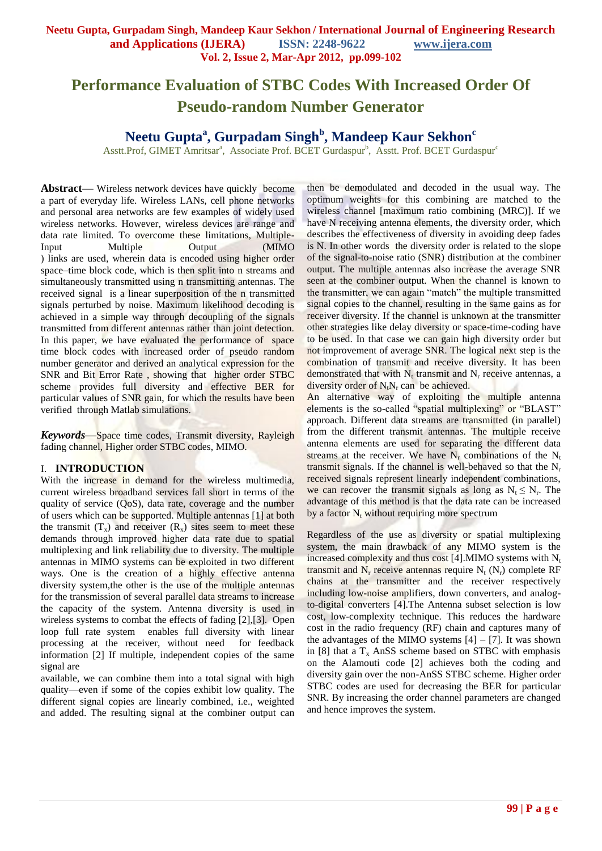# **Performance Evaluation of STBC Codes With Increased Order Of Pseudo-random Number Generator**

## **Neetu Gupta<sup>a</sup> , Gurpadam Singh<sup>b</sup> , Mandeep Kaur Sekhon<sup>c</sup>**

Asstt.Prof, GIMET Amritsar<sup>a</sup>, Associate Prof. BCET Gurdaspur<sup>b</sup>, Asstt. Prof. BCET Gurdaspur<sup>c</sup>

Abstract—— Wireless network devices have quickly become a part of everyday life. Wireless LANs, cell phone networks and personal area networks are few examples of widely used wireless networks. However, wireless devices are range and data rate limited. To overcome these limitations, Multiple-Input Multiple Output (MIMO ) links are used, wherein data is encoded using higher order space–time block code, which is then split into n streams and simultaneously transmitted using n transmitting antennas. The received signal is a linear superposition of the n transmitted signals perturbed by noise. Maximum likelihood decoding is achieved in a simple way through decoupling of the signals transmitted from different antennas rather than joint detection. In this paper, we have evaluated the performance of space time block codes with increased order of pseudo random number generator and derived an analytical expression for the SNR and Bit Error Rate , showing that higher order STBC scheme provides full diversity and effective BER for particular values of SNR gain, for which the results have been verified through Matlab simulations.

*Keywords***—**Space time codes, Transmit diversity, Rayleigh fading channel, Higher order STBC codes, MIMO.

#### I. **INTRODUCTION**

With the increase in demand for the wireless multimedia, current wireless broadband services fall short in terms of the quality of service (QoS), data rate, coverage and the number of users which can be supported. Multiple antennas [1] at both the transmit  $(T_x)$  and receiver  $(R_x)$  sites seem to meet these demands through improved higher data rate due to spatial multiplexing and link reliability due to diversity. The multiple antennas in MIMO systems can be exploited in two different ways. One is the creation of a highly effective antenna diversity system,the other is the use of the multiple antennas for the transmission of several parallel data streams to increase the capacity of the system. Antenna diversity is used in wireless systems to combat the effects of fading [2],[3]. Open loop full rate system enables full diversity with linear processing at the receiver, without need for feedback information [2] If multiple, independent copies of the same signal are

available, we can combine them into a total signal with high quality—even if some of the copies exhibit low quality. The different signal copies are linearly combined, i.e., weighted and added. The resulting signal at the combiner output can then be demodulated and decoded in the usual way. The optimum weights for this combining are matched to the wireless channel [maximum ratio combining (MRC)]. If we have N receiving antenna elements, the diversity order, which describes the effectiveness of diversity in avoiding deep fades is N. In other words the diversity order is related to the slope of the signal-to-noise ratio (SNR) distribution at the combiner output. The multiple antennas also increase the average SNR seen at the combiner output. When the channel is known to the transmitter, we can again "match" the multiple transmitted signal copies to the channel, resulting in the same gains as for receiver diversity. If the channel is unknown at the transmitter other strategies like delay diversity or space-time-coding have to be used. In that case we can gain high diversity order but not improvement of average SNR. The logical next step is the combination of transmit and receive diversity. It has been demonstrated that with  $N_t$  transmit and  $N_r$  receive antennas, a diversity order of N<sub>t</sub>N<sub>r</sub> can be achieved.

An alternative way of exploiting the multiple antenna elements is the so-called "spatial multiplexing" or "BLAST" approach. Different data streams are transmitted (in parallel) from the different transmit antennas. The multiple receive antenna elements are used for separating the different data streams at the receiver. We have  $N_r$  combinations of the  $N_t$ transmit signals. If the channel is well-behaved so that the  $N_r$ received signals represent linearly independent combinations, we can recover the transmit signals as long as  $N_t \le N_r$ . The advantage of this method is that the data rate can be increased by a factor  $N_t$  without requiring more spectrum

Regardless of the use as diversity or spatial multiplexing system, the main drawback of any MIMO system is the increased complexity and thus cost [4]. MIMO systems with  $N_t$ transmit and  $N_r$  receive antennas require  $N_t$  ( $N_r$ ) complete RF chains at the transmitter and the receiver respectively including low-noise amplifiers, down converters, and analogto-digital converters [4].The Antenna subset selection is low cost, low-complexity technique. This reduces the hardware cost in the radio frequency (RF) chain and captures many of the advantages of the MIMO systems  $[4] - [7]$ . It was shown in [8] that a  $T_x$  AnSS scheme based on STBC with emphasis on the Alamouti code [2] achieves both the coding and diversity gain over the non-AnSS STBC scheme. Higher order STBC codes are used for decreasing the BER for particular SNR. By increasing the order channel parameters are changed and hence improves the system.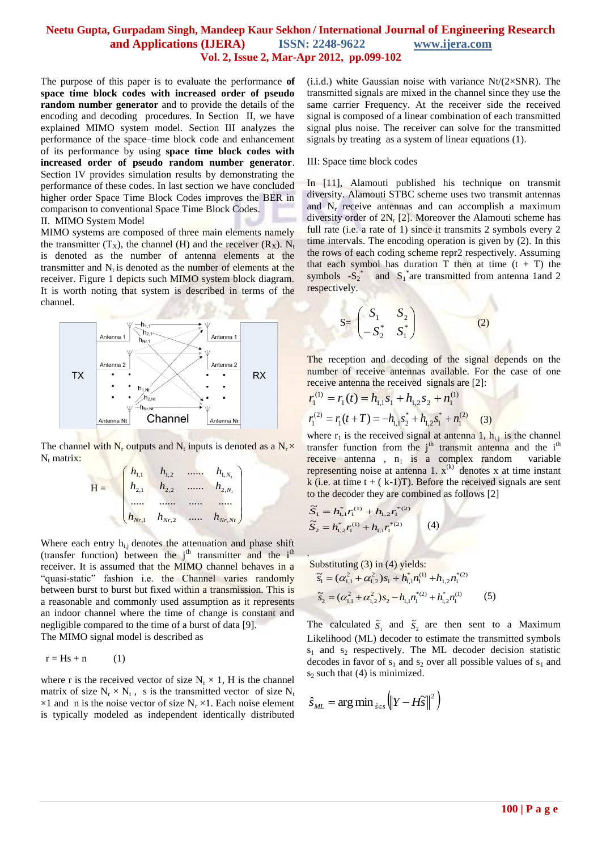#### **Neetu Gupta, Gurpadam Singh, Mandeep Kaur Sekhon / International Journal of Engineering Research and Applications (IJERA) ISSN: 2248-9622 www.ijera.com Vol. 2, Issue 2, Mar-Apr 2012, pp.099-102**

The purpose of this paper is to evaluate the performance **of space time block codes with increased order of pseudo random number generator** and to provide the details of the encoding and decoding procedures. In Section II, we have explained MIMO system model. Section III analyzes the performance of the space–time block code and enhancement of its performance by using **space time block codes with increased order of pseudo random number generator**. Section IV provides simulation results by demonstrating the performance of these codes. In last section we have concluded higher order Space Time Block Codes improves the BER in comparison to conventional Space Time Block Codes.

#### II. MIMO System Model

MIMO systems are composed of three main elements namely the transmitter  $(T_X)$ , the channel (H) and the receiver  $(R_X)$ . N<sub>t</sub> is denoted as the number of antenna elements at the transmitter and  $N_r$  is denoted as the number of elements at the receiver. Figure 1 depicts such MIMO system block diagram. It is worth noting that system is described in terms of the channel.



The channel with  $N_r$  outputs and  $N_t$  inputs is denoted as a  $N_r \times$  $N_t$  matrix:

|   | $h_{1,1}$                     | $h_{1,2}$                     | $h_{1,N_t}$ |
|---|-------------------------------|-------------------------------|-------------|
| F | $h_{2,1}$                     | $h_{2,2}$                     | $h_{2,N_t}$ |
|   |                               |                               |             |
|   | $h_{\scriptscriptstyle Nr,1}$ | $h_{\scriptscriptstyle Nr,2}$ | $h_{Nr,Nt}$ |

Where each entry  $h_{i,j}$  denotes the attenuation and phase shift (transfer function) between the  $j<sup>th</sup>$  transmitter and the  $i<sup>th</sup>$ receiver. It is assumed that the MIMO channel behaves in a "quasi-static" fashion i.e. the Channel varies randomly between burst to burst but fixed within a transmission. This is a reasonable and commonly used assumption as it represents an indoor channel where the time of change is constant and negligible compared to the time of a burst of data [9].

The MIMO signal model is described as

$$
r = Hs + n \tag{1}
$$

where r is the received vector of size  $N_r \times 1$ , H is the channel matrix of size  $N_r \times N_t$ , s is the transmitted vector of size  $N_t$  $\times 1$  and n is the noise vector of size N<sub>r</sub>  $\times 1$ . Each noise element is typically modeled as independent identically distributed

(i.i.d.) white Gaussian noise with variance  $Nt/(2\times SNR)$ . The transmitted signals are mixed in the channel since they use the same carrier Frequency. At the receiver side the received signal is composed of a linear combination of each transmitted signal plus noise. The receiver can solve for the transmitted signals by treating as a system of linear equations (1).

#### III: Space time block codes

S=

In [11], Alamouti published his technique on transmit diversity. Alamouti STBC scheme uses two transmit antennas and  $N_r$  receive antennas and can accomplish a maximum diversity order of  $2N_r$  [2]. Moreover the Alamouti scheme has full rate (i.e. a rate of 1) since it transmits 2 symbols every 2 time intervals. The encoding operation is given by (2). In this the rows of each coding scheme repr2 respectively. Assuming that each symbol has duration T then at time  $(t + T)$  the symbols  $-S_2^*$  and  $S_1^*$  are transmitted from antenna 1 and 2 respectively.

$$
= \begin{pmatrix} S_1 & S_2 \\ -S_2^* & S_1^* \end{pmatrix} \tag{2}
$$

The reception and decoding of the signal depends on the number of receive antennas available. For the case of one receive antenna the received signals are [2]:

$$
r_1^{(1)} = r_1(t) = h_{1,1}s_1 + h_{1,2}s_2 + n_1^{(1)}
$$
  

$$
r_1^{(2)} = r_1(t+T) = -h_{1,1}s_2 + h_{1,2}s_1 + n_1^{(2)}
$$
 (3)

where  $r_1$  is the received signal at antenna 1,  $h_{i,j}$  is the channel transfer function from the  $j<sup>th</sup>$  transmit antenna and the  $i<sup>th</sup>$ receive antenna,  $n_1$  is a complex random variable representing noise at antenna 1.  $x^{(k)}$  denotes x at time instant k (i.e. at time  $t + (k-1)T$ ). Before the received signals are sent to the decoder they are combined as follows [2]

$$
\widetilde{S}_1 = h_{1,1}^* r_1^{(1)} + h_{1,2} r_1^{*(2)}
$$
\n
$$
\widetilde{S}_2 = h_{1,2}^* r_1^{(1)} + h_{1,1} r_1^{*(2)}
$$
\n(4)

.

Substituting (3) in (4) yields:  
\n
$$
\tilde{s}_1 = (\alpha_{1,1}^2 + \alpha_{1,2}^2) s_1 + h_{1,1}^* n_1^{(1)} + h_{1,2} n_1^{*(2)}
$$
\n
$$
\tilde{s}_2 = (\alpha_{1,1}^2 + \alpha_{1,2}^2) s_2 - h_{1,1} n_1^{*(2)} + h_{1,2}^* n_1^{(1)}
$$
\n(5)

The calculated  $\tilde{S}_1$  and  $\tilde{S}_2$  are then sent to a Maximum Likelihood (ML) decoder to estimate the transmitted symbols  $s_1$  and  $s_2$  respectively. The ML decoder decision statistic decodes in favor of  $s_1$  and  $s_2$  over all possible values of  $s_1$  and  $s_2$  such that (4) is minimized.

$$
\hat{S}_{ML} = \arg\min_{\hat{s}\in\mathcal{S}} \left( \left\| Y - H\widetilde{S} \right\|^2 \right)
$$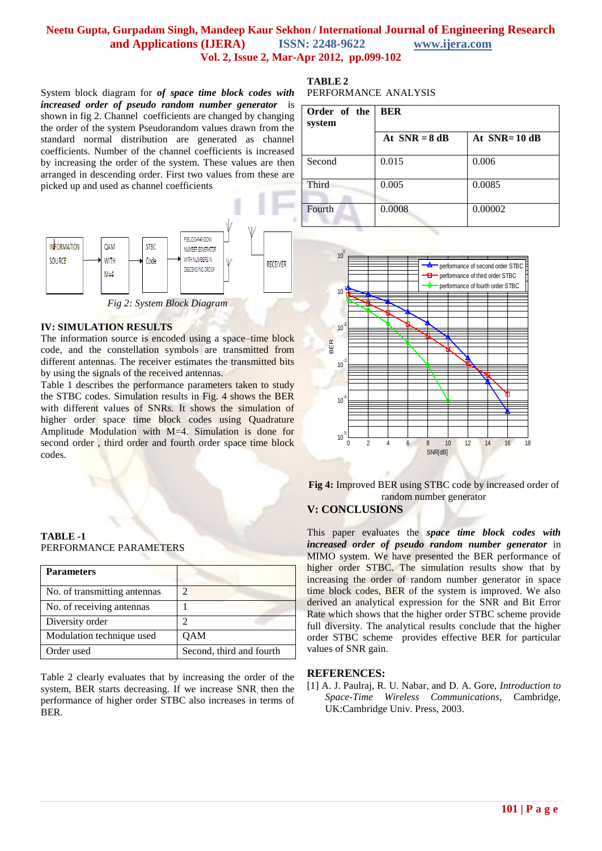### **Neetu Gupta, Gurpadam Singh, Mandeep Kaur Sekhon / International Journal of Engineering Research and Applications (IJERA) ISSN: 2248-9622 www.ijera.com Vol. 2, Issue 2, Mar-Apr 2012, pp.099-102**

System block diagram for *of space time block codes with increased order of pseudo random number generator* is shown in fig 2. Channel coefficients are changed by changing the order of the system Pseudorandom values drawn from the standard normal distribution are generated as channel coefficients. Number of the channel coefficients is increased by increasing the order of the system. These values are then arranged in descending order. First two values from these are picked up and used as channel coefficients



*Fig 2: System Block Diagram*

#### **IV: SIMULATION RESULTS**

The information source is encoded using a space–time block code, and the constellation symbols are transmitted from different antennas. The receiver estimates the transmitted bits by using the signals of the received antennas.

Table 1 describes the performance parameters taken to study the STBC codes. Simulation results in Fig. 4 shows the BER with different values of SNRs. It shows the simulation of higher order space time block codes using Quadrature Amplitude Modulation with M=4. Simulation is done for second order , third order and fourth order space time block codes.

#### **TABLE -1** PERFORMANCE PARAMETERS

| <b>Parameters</b>            |                          |
|------------------------------|--------------------------|
| No. of transmitting antennas | っ                        |
| No. of receiving antennas    |                          |
| Diversity order              |                          |
| Modulation technique used    | QAM                      |
| Order used                   | Second, third and fourth |

Table 2 clearly evaluates that by increasing the order of the system, BER starts decreasing. If we increase SNR, then the performance of higher order STBC also increases in terms of BER.

#### **TABLE 2** PERFORMANCE ANALYSIS

| Order of the<br>system | <b>BER</b>      |                  |  |
|------------------------|-----------------|------------------|--|
|                        | At $SNR = 8$ dB | At $SNR = 10$ dB |  |
| Second                 | 0.015           | 0.006            |  |
| Third                  | 0.005           | 0.0085           |  |
| Fourth                 | 0.0008          | 0.00002          |  |



**Fig 4:** Improved BER using STBC code by increased order of random number generator

## **V: CONCLUSIONS**

This paper evaluates the *space time block codes with increased order of pseudo random number generator* in MIMO system. We have presented the BER performance of higher order STBC. The simulation results show that by increasing the order of random number generator in space time block codes, BER of the system is improved. We also derived an analytical expression for the SNR and Bit Error Rate which shows that the higher order STBC scheme provide full diversity. The analytical results conclude that the higher order STBC scheme provides effective BER for particular values of SNR gain.

#### **REFERENCES:**

[1] A. J. Paulraj, R. U. Nabar, and D. A. Gore, *Introduction to Space-Time Wireless Communications*, Cambridge, UK:Cambridge Univ. Press, 2003.